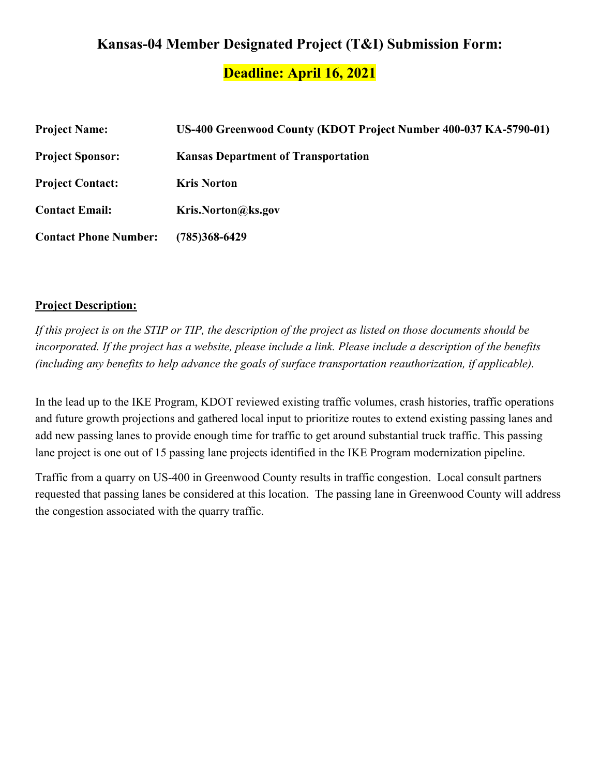# **Kansas-04 Member Designated Project (T&I) Submission Form:**

**Deadline: April 16, 2021**

| <b>Project Name:</b>         | US-400 Greenwood County (KDOT Project Number 400-037 KA-5790-01) |
|------------------------------|------------------------------------------------------------------|
| <b>Project Sponsor:</b>      | <b>Kansas Department of Transportation</b>                       |
| <b>Project Contact:</b>      | <b>Kris Norton</b>                                               |
| <b>Contact Email:</b>        | Kris.Norton@ks.gov                                               |
| <b>Contact Phone Number:</b> | (785)368-6429                                                    |

#### **Project Description:**

*If this project is on the STIP or TIP, the description of the project as listed on those documents should be incorporated. If the project has a website, please include a link. Please include a description of the benefits (including any benefits to help advance the goals of surface transportation reauthorization, if applicable).*

In the lead up to the IKE Program, KDOT reviewed existing traffic volumes, crash histories, traffic operations and future growth projections and gathered local input to prioritize routes to extend existing passing lanes and add new passing lanes to provide enough time for traffic to get around substantial truck traffic. This passing lane project is one out of 15 passing lane projects identified in the IKE Program modernization pipeline.

Traffic from a quarry on US-400 in Greenwood County results in traffic congestion. Local consult partners requested that passing lanes be considered at this location. The passing lane in Greenwood County will address the congestion associated with the quarry traffic.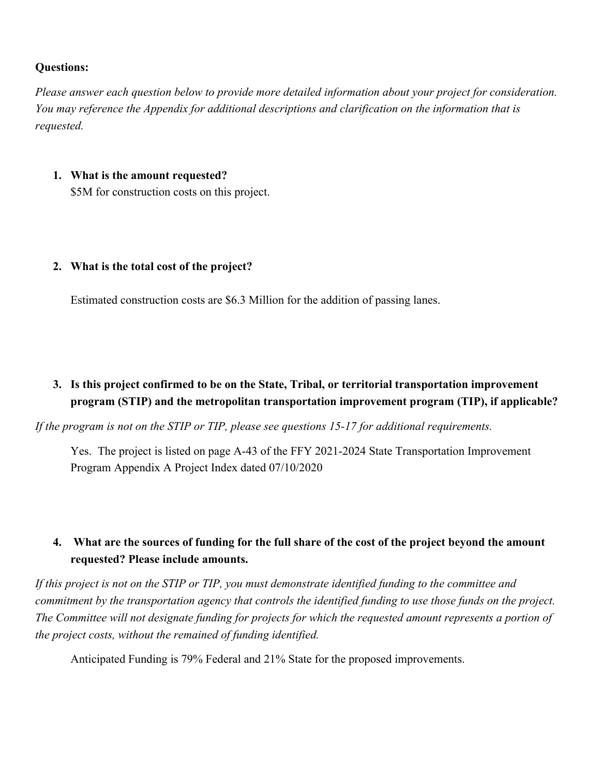#### **Questions:**

*Please answer each question below to provide more detailed information about your project for consideration. You may reference the Appendix for additional descriptions and clarification on the information that is requested.* 

#### **1. What is the amount requested?**

\$5M for construction costs on this project.

#### **2. What is the total cost of the project?**

Estimated construction costs are \$6.3 Million for the addition of passing lanes.

## **3. Is this project confirmed to be on the State, Tribal, or territorial transportation improvement program (STIP) and the metropolitan transportation improvement program (TIP), if applicable?**

*If the program is not on the STIP or TIP, please see questions 15-17 for additional requirements.*

Yes. The project is listed on page A-43 of the FFY 2021-2024 State Transportation Improvement Program Appendix A Project Index dated 07/10/2020

## **4. What are the sources of funding for the full share of the cost of the project beyond the amount requested? Please include amounts.**

*If this project is not on the STIP or TIP, you must demonstrate identified funding to the committee and commitment by the transportation agency that controls the identified funding to use those funds on the project. The Committee will not designate funding for projects for which the requested amount represents a portion of the project costs, without the remained of funding identified.* 

Anticipated Funding is 79% Federal and 21% State for the proposed improvements.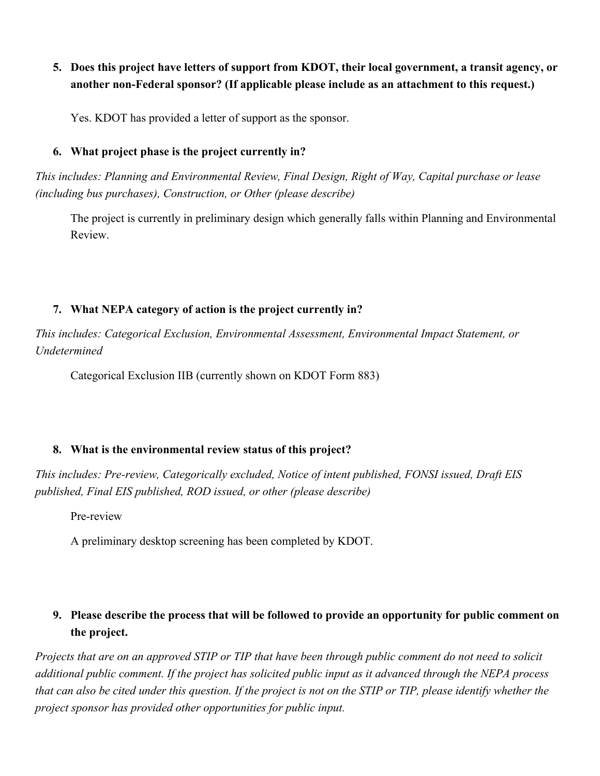## **5. Does this project have letters of support from KDOT, their local government, a transit agency, or another non-Federal sponsor? (If applicable please include as an attachment to this request.)**

Yes. KDOT has provided a letter of support as the sponsor.

#### **6. What project phase is the project currently in?**

*This includes: Planning and Environmental Review, Final Design, Right of Way, Capital purchase or lease (including bus purchases), Construction, or Other (please describe)* 

The project is currently in preliminary design which generally falls within Planning and Environmental Review.

#### **7. What NEPA category of action is the project currently in?**

*This includes: Categorical Exclusion, Environmental Assessment, Environmental Impact Statement, or Undetermined*

Categorical Exclusion IIB (currently shown on KDOT Form 883)

#### **8. What is the environmental review status of this project?**

*This includes: Pre-review, Categorically excluded, Notice of intent published, FONSI issued, Draft EIS published, Final EIS published, ROD issued, or other (please describe)*

Pre-review

A preliminary desktop screening has been completed by KDOT.

# **9. Please describe the process that will be followed to provide an opportunity for public comment on the project.**

*Projects that are on an approved STIP or TIP that have been through public comment do not need to solicit additional public comment. If the project has solicited public input as it advanced through the NEPA process that can also be cited under this question. If the project is not on the STIP or TIP, please identify whether the project sponsor has provided other opportunities for public input.*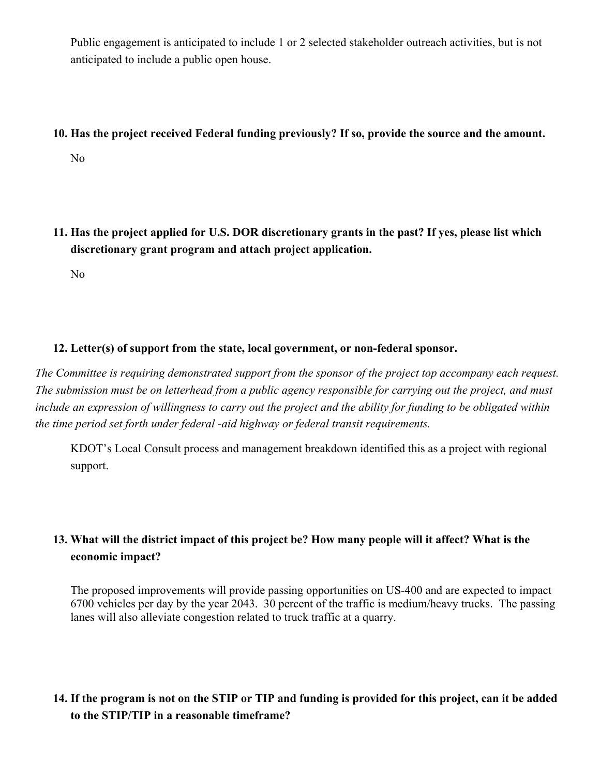Public engagement is anticipated to include 1 or 2 selected stakeholder outreach activities, but is not anticipated to include a public open house.

#### **10. Has the project received Federal funding previously? If so, provide the source and the amount.**

No

**11. Has the project applied for U.S. DOR discretionary grants in the past? If yes, please list which discretionary grant program and attach project application.** 

No

#### **12. Letter(s) of support from the state, local government, or non-federal sponsor.**

*The Committee is requiring demonstrated support from the sponsor of the project top accompany each request. The submission must be on letterhead from a public agency responsible for carrying out the project, and must include an expression of willingness to carry out the project and the ability for funding to be obligated within the time period set forth under federal -aid highway or federal transit requirements.* 

KDOT's Local Consult process and management breakdown identified this as a project with regional support.

# **13. What will the district impact of this project be? How many people will it affect? What is the economic impact?**

The proposed improvements will provide passing opportunities on US-400 and are expected to impact 6700 vehicles per day by the year 2043. 30 percent of the traffic is medium/heavy trucks. The passing lanes will also alleviate congestion related to truck traffic at a quarry.

# **14. If the program is not on the STIP or TIP and funding is provided for this project, can it be added to the STIP/TIP in a reasonable timeframe?**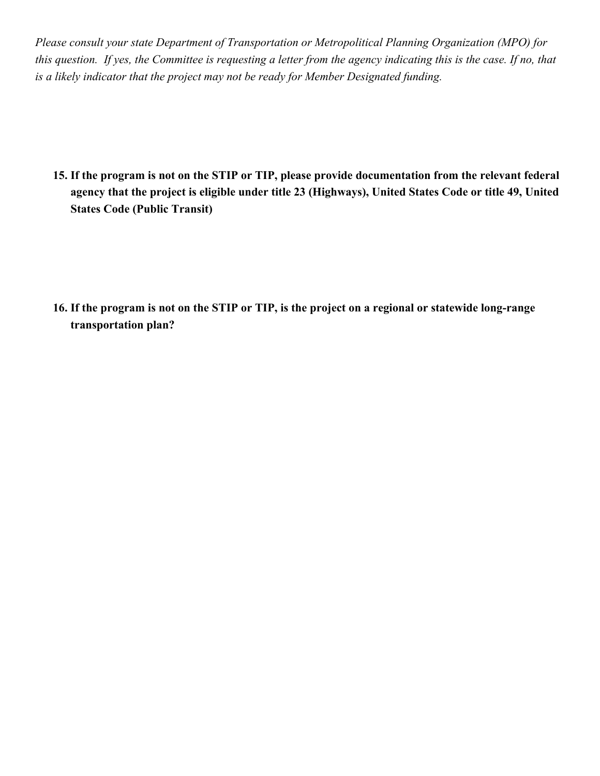*Please consult your state Department of Transportation or Metropolitical Planning Organization (MPO) for this question. If yes, the Committee is requesting a letter from the agency indicating this is the case. If no, that is a likely indicator that the project may not be ready for Member Designated funding.* 

**15. If the program is not on the STIP or TIP, please provide documentation from the relevant federal agency that the project is eligible under title 23 (Highways), United States Code or title 49, United States Code (Public Transit)**

**16. If the program is not on the STIP or TIP, is the project on a regional or statewide long-range transportation plan?**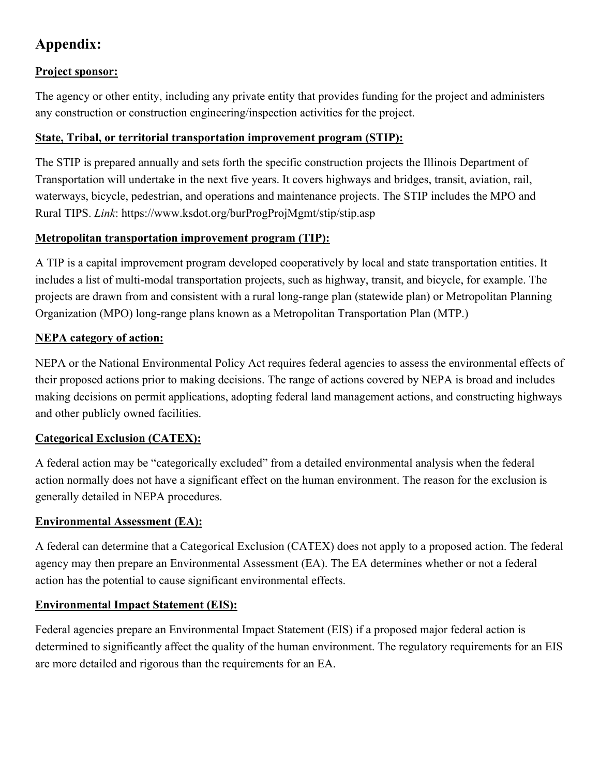# **Appendix:**

### **Project sponsor:**

The agency or other entity, including any private entity that provides funding for the project and administers any construction or construction engineering/inspection activities for the project.

#### **State, Tribal, or territorial transportation improvement program (STIP):**

The STIP is prepared annually and sets forth the specific construction projects the Illinois Department of Transportation will undertake in the next five years. It covers highways and bridges, transit, aviation, rail, waterways, bicycle, pedestrian, and operations and maintenance projects. The STIP includes the MPO and Rural TIPS. *Link*: https://www.ksdot.org/burProgProjMgmt/stip/stip.asp

### **Metropolitan transportation improvement program (TIP):**

A TIP is a capital improvement program developed cooperatively by local and state transportation entities. It includes a list of multi-modal transportation projects, such as highway, transit, and bicycle, for example. The projects are drawn from and consistent with a rural long-range plan (statewide plan) or Metropolitan Planning Organization (MPO) long-range plans known as a Metropolitan Transportation Plan (MTP.)

## **NEPA category of action:**

NEPA or the National Environmental Policy Act requires federal agencies to assess the environmental effects of their proposed actions prior to making decisions. The range of actions covered by NEPA is broad and includes making decisions on permit applications, adopting federal land management actions, and constructing highways and other publicly owned facilities.

## **Categorical Exclusion (CATEX):**

A federal action may be "categorically excluded" from a detailed environmental analysis when the federal action normally does not have a significant effect on the human environment. The reason for the exclusion is generally detailed in NEPA procedures.

## **Environmental Assessment (EA):**

A federal can determine that a Categorical Exclusion (CATEX) does not apply to a proposed action. The federal agency may then prepare an Environmental Assessment (EA). The EA determines whether or not a federal action has the potential to cause significant environmental effects.

## **Environmental Impact Statement (EIS):**

Federal agencies prepare an Environmental Impact Statement (EIS) if a proposed major federal action is determined to significantly affect the quality of the human environment. The regulatory requirements for an EIS are more detailed and rigorous than the requirements for an EA.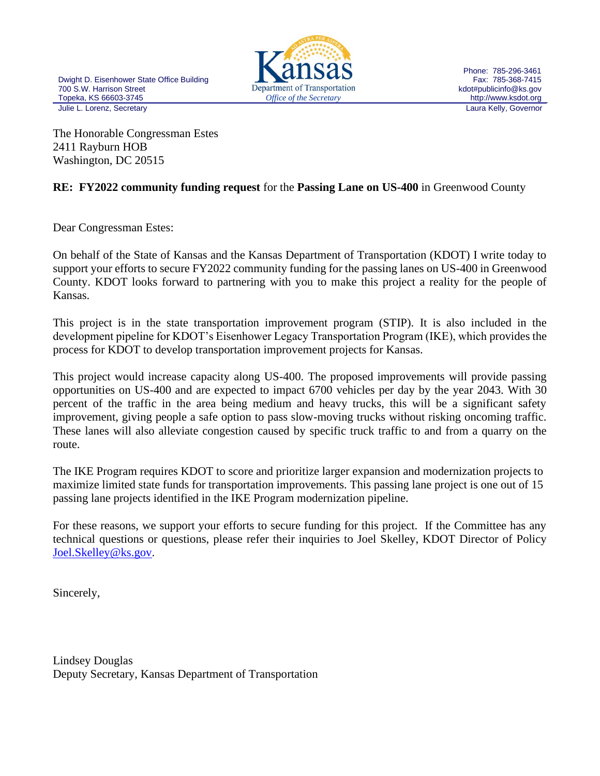

Phone: 785-296-3461 Fax: 785-368-7415 kdot#publicinfo@ks.gov http://www.ksdot.org

The Honorable Congressman Estes 2411 Rayburn HOB Washington, DC 20515

### **RE: FY2022 community funding request** for the **Passing Lane on US-400** in Greenwood County

Dear Congressman Estes:

On behalf of the State of Kansas and the Kansas Department of Transportation (KDOT) I write today to support your efforts to secure FY2022 community funding for the passing lanes on US-400 in Greenwood County. KDOT looks forward to partnering with you to make this project a reality for the people of Kansas.

This project is in the state transportation improvement program (STIP). It is also included in the development pipeline for KDOT's Eisenhower Legacy Transportation Program (IKE), which provides the process for KDOT to develop transportation improvement projects for Kansas.

This project would increase capacity along US-400. The proposed improvements will provide passing opportunities on US-400 and are expected to impact 6700 vehicles per day by the year 2043. With 30 percent of the traffic in the area being medium and heavy trucks, this will be a significant safety improvement, giving people a safe option to pass slow-moving trucks without risking oncoming traffic. These lanes will also alleviate congestion caused by specific truck traffic to and from a quarry on the route.

The IKE Program requires KDOT to score and prioritize larger expansion and modernization projects to maximize limited state funds for transportation improvements. This passing lane project is one out of 15 passing lane projects identified in the IKE Program modernization pipeline.

For these reasons, we support your efforts to secure funding for this project. If the Committee has any technical questions or questions, please refer their inquiries to Joel Skelley, KDOT Director of Policy [Joel.Skelley@ks.gov.](mailto:Joel.Skelley@ks.gov)

Sincerely,

Lindsey Douglas Deputy Secretary, Kansas Department of Transportation